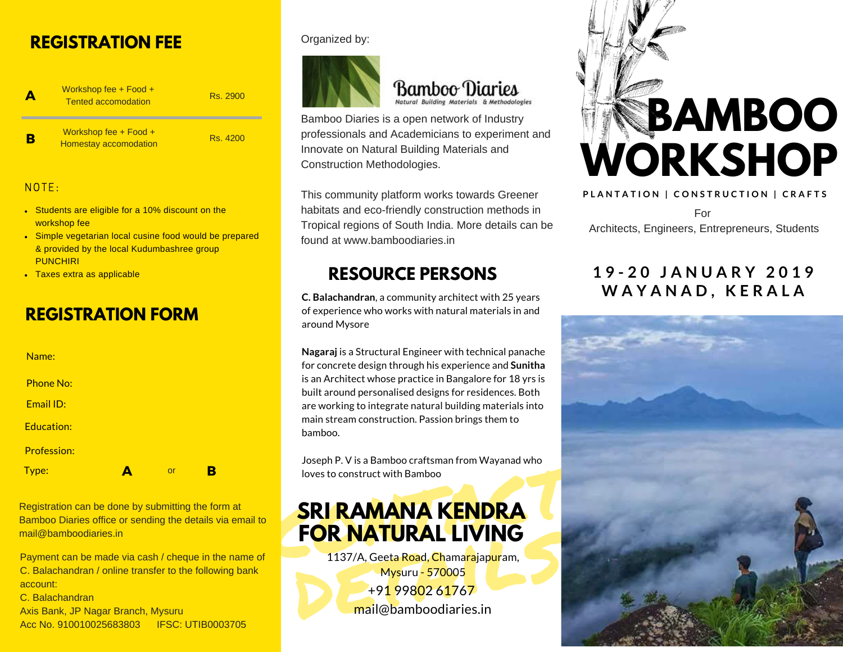# **REGISTRATION FEE**

A B Workshop fee + Food + Tented accomodation Rs. 2900 Rs. 4200 Workshop fee + Food + Homestay accomodation

### $NOTF$

- **Students are eligible for a 10% discount on the** workshop fee
- Simple vegetarian local cusine food would be prepared & provided by the local Kudumbashree group PUNCHIRI
- Taxes extra as applicable

# **REGISTRATION FORM**



Registration can be done by submitting the form at Bamboo Diaries office or sending the details via email to mail@bamboodiaries.in

Payment can be made via cash / cheque in the name of C. Balachandran / online transfer to the following bank account: C. Balachandran

Axis Bank, JP Nagar Branch, Mysuru Acc No. 910010025683803 IFSC: UTIB0003705

#### Organized by:



### Bamboo Diaries Natural Building Materials & Methodologies

Bamboo Diaries is a open network of Industry professionals and Academicians to experiment and Innovate on Natural Building Materials and Construction Methodologies.

This community platform works towards Greener habitats and eco-friendly construction methods in Tropical regions of South India. More details can be found at www.bamboodiaries.in

# **RESOURCE PERSONS**

**C. Balachandran**, a community architect with 25 years of experience who works with natural materials in and around Mysore

**Nagaraj** is a Structural Engineer with technical panache for concrete design through his experience and **Sunitha** is an Architect whose practice in Bangalore for 18 yrs is built around personalised designs for residences. Both are working to integrate natural building materials into main stream construction. Passion brings them to bamboo.

Joseph P. V is a Bamboo craftsman from Wayanad who loves to construct with Bamboo

# **SRI RAMANA KENDRA<br>FOR NATURAL LIVING SRI RAMANA KENDRA**

**FOR NATURAL LIVING**<br>
1137/A, Geeta Road, Chama<mark>rajapur</mark>am,<br>
Mysuru - 570005<br>
+91 99802 61767<br>
mail@bamboodiaries.in 1137/A, Geeta Road, Chamarajapuram, Mysuru - 570005 +91 99802 61767 mail@bamboodiaries.in



PLANTATION | CONSTRUCTION | CRAFTS For Architects, Engineers, Entrepreneurs, Students

### **1 9 - 2 0 J A N U A R Y 2 0 1 9 W A Y A N A D , K E R A L A**